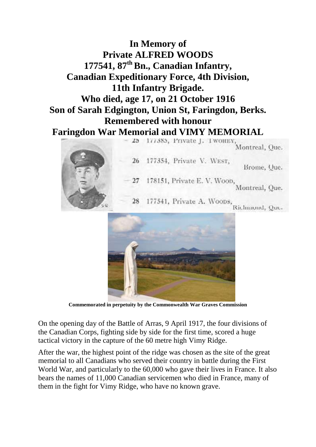## **In Memory of Private ALFRED WOODS 177541, 87th Bn., Canadian Infantry, Canadian Expeditionary Force, 4th Division, 11th Infantry Brigade. Who died, age 17, on 21 October 1916 Son of Sarah Edgington, Union St, Faringdon, Berks. Remembered with honour Faringdon War Memorial and VIMY MEMORIAL** 177385, Private J. TWOHEY  $25 -$





**Commemorated in perpetuity by the Commonwealth War Graves Commission** 

On the opening day of the Battle of Arras, 9 April 1917, the four divisions of the Canadian Corps, fighting side by side for the first time, scored a huge tactical victory in the capture of the 60 metre high Vimy Ridge.

After the war, the highest point of the ridge was chosen as the site of the great memorial to all Canadians who served their country in battle during the First World War, and particularly to the 60,000 who gave their lives in France. It also bears the names of 11,000 Canadian servicemen who died in France, many of them in the fight for Vimy Ridge, who have no known grave.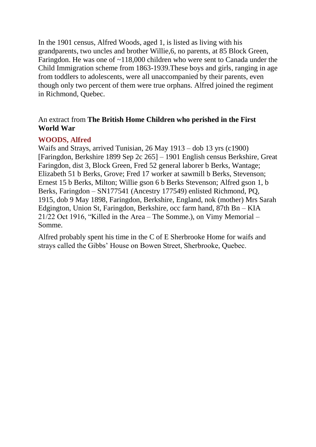In the 1901 census, Alfred Woods, aged 1, is listed as living with his grandparents, two uncles and brother Willie,6, no parents, at 85 Block Green, Faringdon. He was one of ~118,000 children who were sent to Canada under the Child Immigration scheme from 1863-1939.These boys and girls, ranging in age from toddlers to adolescents, were all unaccompanied by their parents, even though only two percent of them were true orphans. Alfred joined the regiment in Richmond, Quebec.

## An extract from **The British Home Children who perished in the First World War**

### **WOODS, Alfred**

Waifs and Strays, arrived Tunisian, 26 May 1913 – dob 13 yrs (c1900) [Faringdon, Berkshire 1899 Sep 2c 265] – 1901 English census Berkshire, Great Faringdon, dist 3, Block Green, Fred 52 general laborer b Berks, Wantage; Elizabeth 51 b Berks, Grove; Fred 17 worker at sawmill b Berks, Stevenson; Ernest 15 b Berks, Milton; Willie gson 6 b Berks Stevenson; Alfred gson 1, b Berks, Faringdon – SN177541 (Ancestry 177549) enlisted Richmond, PQ, 1915, dob 9 May 1898, Faringdon, Berkshire, England, nok (mother) Mrs Sarah Edgington, Union St, Faringdon, Berkshire, occ farm hand, 87th Bn – KIA 21/22 Oct 1916, "Killed in the Area – The Somme.), on Vimy Memorial – Somme.

Alfred probably spent his time in the C of E Sherbrooke Home for waifs and strays called the Gibbs' House on Bowen Street, Sherbrooke, Quebec.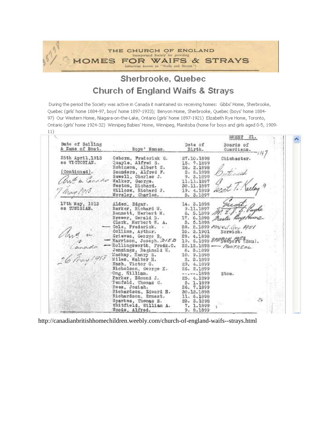#### THE CHURCH OF ENGLAND Incorporated Society for providing **MOMES** FOR WAIFS & STRAYS (otherwise known as "Waifs and Strays.")

# Sherbrooke, Quebec **Church of England Waifs & Strays**

During the period the Society was active in Canada it maintained six receiving homes: Gibbs' Home, Sherbrooke, Quebec (girls' home 1884-97, boys' home 1897-1933); Benyon Home, Sherbrooke, Quebec (boys' home 1884-97) Our Western Home, Niagara-on-the-Lake, Ontario (girls' home 1897-1921) Elizabeth Rye Home, Toronto, Ontario (girls' home 1924-32) Winnipeg Babies' Home, Winnipeg, Manitoba (home for boys and girls aged 0-5, 1909- $11)$ 

|                                    |                                                                                                                                                                                                                                                                                                                                                                                                                                                                                                                                                          |                         | SHEST 21.                   |  |
|------------------------------------|----------------------------------------------------------------------------------------------------------------------------------------------------------------------------------------------------------------------------------------------------------------------------------------------------------------------------------------------------------------------------------------------------------------------------------------------------------------------------------------------------------------------------------------------------------|-------------------------|-----------------------------|--|
| Date of Sailing<br>& Name of Boat. | Boys' Names.                                                                                                                                                                                                                                                                                                                                                                                                                                                                                                                                             | Date of<br>Birth.       | Boards of<br>Guardians.     |  |
| 25th April, 1913                   | Osborn, Frederick G.                                                                                                                                                                                                                                                                                                                                                                                                                                                                                                                                     | 27.10.1898              | Chichester.                 |  |
| ss VICTORIAN.                      | Quayle, Alfred S.                                                                                                                                                                                                                                                                                                                                                                                                                                                                                                                                        | 15, 7, 1899             |                             |  |
|                                    | Robinson, Albert W.                                                                                                                                                                                                                                                                                                                                                                                                                                                                                                                                      | 26, 2,1898              |                             |  |
| (Continued).                       | Saunders, Alfred F.                                                                                                                                                                                                                                                                                                                                                                                                                                                                                                                                      | 2. 5.1898               | Bostiniah                   |  |
|                                    | Sewell, Charles J.<br>and a Canado Nelker, George.                                                                                                                                                                                                                                                                                                                                                                                                                                                                                                       | 9. 3.1899<br>11.11.1897 | Gent T. Keeley 9            |  |
|                                    | Weston, Richard.                                                                                                                                                                                                                                                                                                                                                                                                                                                                                                                                         | 30.11.1897              |                             |  |
| May 1915                           | Willcox, Richard J.                                                                                                                                                                                                                                                                                                                                                                                                                                                                                                                                      | 19. 4.1899              |                             |  |
|                                    | Worsloy, Charles.                                                                                                                                                                                                                                                                                                                                                                                                                                                                                                                                        | 5. 3.1897               |                             |  |
| 17th May, 1913                     | Alden, Edgar.                                                                                                                                                                                                                                                                                                                                                                                                                                                                                                                                            | 14. 3.1898              |                             |  |
| ss TUNISIAN.                       | Barker, Richard W.                                                                                                                                                                                                                                                                                                                                                                                                                                                                                                                                       | 9.11.1897               | M. J. J. S. Pugha           |  |
|                                    | Bennett, Herbert W.                                                                                                                                                                                                                                                                                                                                                                                                                                                                                                                                      | 6.5.1899                |                             |  |
|                                    | Brewer, Gerald B.                                                                                                                                                                                                                                                                                                                                                                                                                                                                                                                                        |                         | 17. 6.1898 Master Roys Home |  |
|                                    | Clark, Horbort W. A.                                                                                                                                                                                                                                                                                                                                                                                                                                                                                                                                     | 5. 5.1898               |                             |  |
|                                    | - Cole, Frederick.                                                                                                                                                                                                                                                                                                                                                                                                                                                                                                                                       |                         | 28. 2.1899 ANGOL, Quy 1951  |  |
|                                    |                                                                                                                                                                                                                                                                                                                                                                                                                                                                                                                                                          | 10. 3.1901              | Norwich.                    |  |
|                                    | $\mathcal{A}_{\mathcal{U}}$ (a) $\begin{array}{rcl}\n\mathcal{A}_{\mathcal{U}} & \mathcal{A}_{\mathcal{U}} & \mathcal{A}_{\mathcal{U}}\n\end{array}$ (collins, Arthur.<br>$\mathcal{A}_{\mathcal{U}}\left(\begin{array}{cc} \mathcal{A}_{\mathcal{U}}\left(\mathcal{A}_{\mathcal{U}}\right) & \mathcal{A}_{\mathcal{U}}\mathcal{A}_{\mathcal{U}} \\ \mathcal{A}_{\mathcal{U}}\right) & \mathcal{A}_{\mathcal{U}}\n\end{array}$<br>$\mathcal{A}_{\mathcal{$<br>Grieves, George R, 29. 4.1898 2007 Follow, Joseph. 215D 19. 6.1899 2007 Follow, 75 7 Mon). |                         |                             |  |
|                                    |                                                                                                                                                                                                                                                                                                                                                                                                                                                                                                                                                          |                         |                             |  |
|                                    | -Bollingsworth, Fredk.C.                                                                                                                                                                                                                                                                                                                                                                                                                                                                                                                                 |                         | $22.12.1898$ - MONTREAL     |  |
|                                    | Jennings, Roginald W.                                                                                                                                                                                                                                                                                                                                                                                                                                                                                                                                    | 8. 3.1899               |                             |  |
|                                    |                                                                                                                                                                                                                                                                                                                                                                                                                                                                                                                                                          | 10. 9.1898              |                             |  |
|                                    | Miles, Walter H.                                                                                                                                                                                                                                                                                                                                                                                                                                                                                                                                         | 2. 3.1899<br>29. 4.1899 |                             |  |
|                                    | Nicholson, George K.                                                                                                                                                                                                                                                                                                                                                                                                                                                                                                                                     | 26. 2.1899              |                             |  |
|                                    | Ong, William.                                                                                                                                                                                                                                                                                                                                                                                                                                                                                                                                            | $---1898$               | Stow.                       |  |
|                                    | Parker, Edmund J.                                                                                                                                                                                                                                                                                                                                                                                                                                                                                                                                        | 25. 4.1899              |                             |  |
|                                    | Fenfold, Thomas C.                                                                                                                                                                                                                                                                                                                                                                                                                                                                                                                                       | 5. 1.1899               |                             |  |
|                                    | Ress, Josiah.                                                                                                                                                                                                                                                                                                                                                                                                                                                                                                                                            | 26. 7.1899              |                             |  |
|                                    | Richardson, Edward H.                                                                                                                                                                                                                                                                                                                                                                                                                                                                                                                                    | 30.12.1898              |                             |  |
|                                    | Richardson, Ernest.                                                                                                                                                                                                                                                                                                                                                                                                                                                                                                                                      | 11. 6.1898              |                             |  |
|                                    | Sparkes, Thomas E.                                                                                                                                                                                                                                                                                                                                                                                                                                                                                                                                       | 23. 3.1898              | 24                          |  |
|                                    | Whitfield, William A.                                                                                                                                                                                                                                                                                                                                                                                                                                                                                                                                    | 7. 1.1899               |                             |  |
|                                    | Woods, Alfred.                                                                                                                                                                                                                                                                                                                                                                                                                                                                                                                                           | 9. 8.1899               |                             |  |

http://canadianbritishhomechildren.weebly.com/church-of-england-waifs--strays.html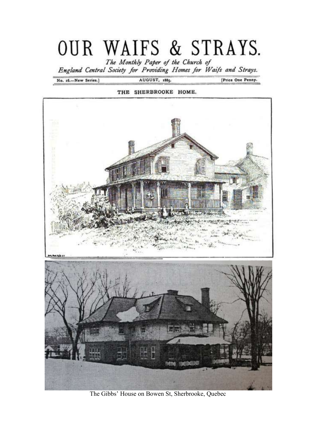# OUR WAIFS & STRAYS.

The Monthly Paper of the Church of<br>England Central Society for Providing Homes for Waifs and Strays.

No. 16.-New Series.]

AUGUST, 1885.

[Price One Penny.





The Gibbs' House on Bowen St, Sherbrooke, Quebec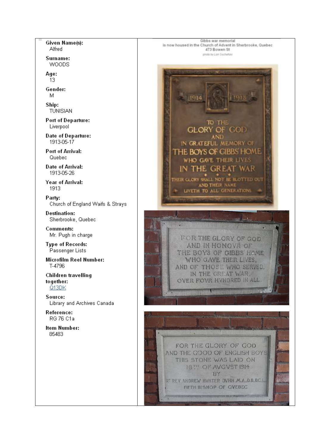